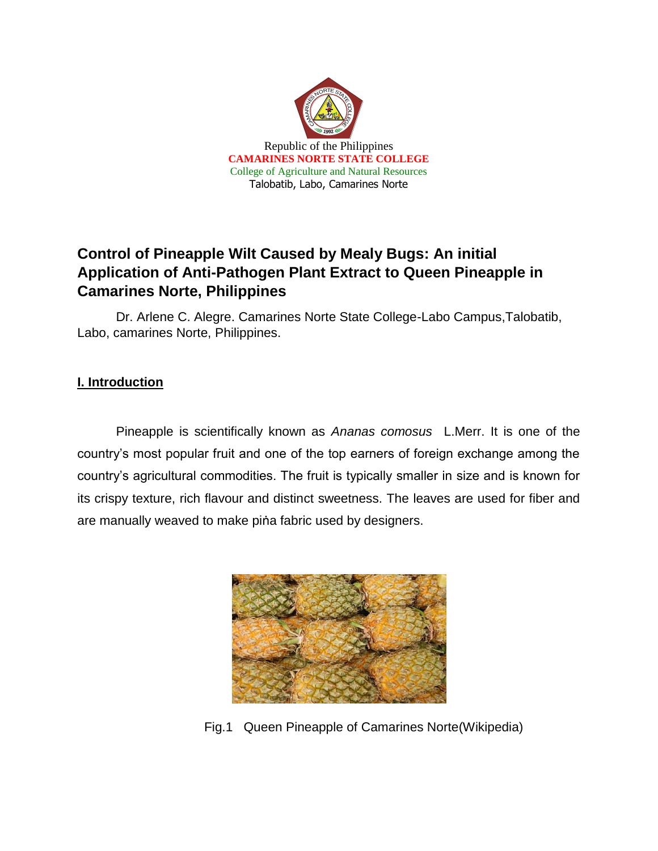

# **Control of Pineapple Wilt Caused by Mealy Bugs: An initial Application of Anti-Pathogen Plant Extract to Queen Pineapple in Camarines Norte, Philippines**

Dr. Arlene C. Alegre. Camarines Norte State College-Labo Campus,Talobatib, Labo, camarines Norte, Philippines.

# **I. Introduction**

Pineapple is scientifically known as *Ananas comosus* L.Merr. It is one of the country's most popular fruit and one of the top earners of foreign exchange among the country's agricultural commodities. The fruit is typically smaller in size and is known for its crispy texture, rich flavour and distinct sweetness. The leaves are used for fiber and are manually weaved to make piṅa fabric used by designers.



Fig.1 Queen Pineapple of Camarines Norte(Wikipedia)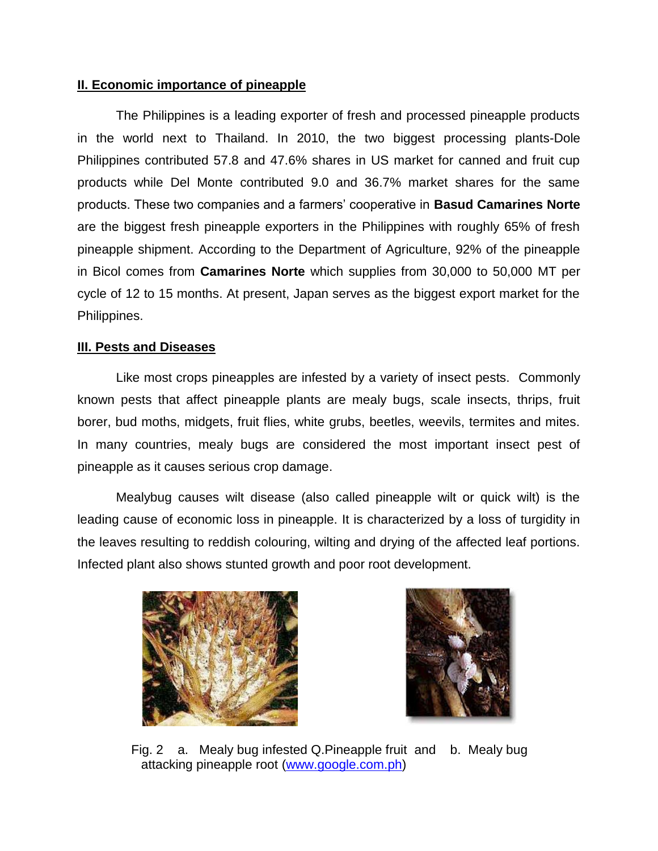#### **II. Economic importance of pineapple**

The Philippines is a leading exporter of fresh and processed pineapple products in the world next to Thailand. In 2010, the two biggest processing plants-Dole Philippines contributed 57.8 and 47.6% shares in US market for canned and fruit cup products while Del Monte contributed 9.0 and 36.7% market shares for the same products. These two companies and a farmers' cooperative in **Basud Camarines Norte** are the biggest fresh pineapple exporters in the Philippines with roughly 65% of fresh pineapple shipment. According to the Department of Agriculture, 92% of the pineapple in Bicol comes from **Camarines Norte** which supplies from 30,000 to 50,000 MT per cycle of 12 to 15 months. At present, Japan serves as the biggest export market for the Philippines.

### **III. Pests and Diseases**

Like most crops pineapples are infested by a variety of insect pests. Commonly known pests that affect pineapple plants are mealy bugs, scale insects, thrips, fruit borer, bud moths, midgets, fruit flies, white grubs, beetles, weevils, termites and mites. In many countries, mealy bugs are considered the most important insect pest of pineapple as it causes serious crop damage.

Mealybug causes wilt disease (also called pineapple wilt or quick wilt) is the leading cause of economic loss in pineapple. It is characterized by a loss of turgidity in the leaves resulting to reddish colouring, wilting and drying of the affected leaf portions. Infected plant also shows stunted growth and poor root development.





 Fig. 2 a. Mealy bug infested Q.Pineapple fruit and b. Mealy bug attacking pineapple root [\(www.google.com.ph\)](http://www.google.com.ph/)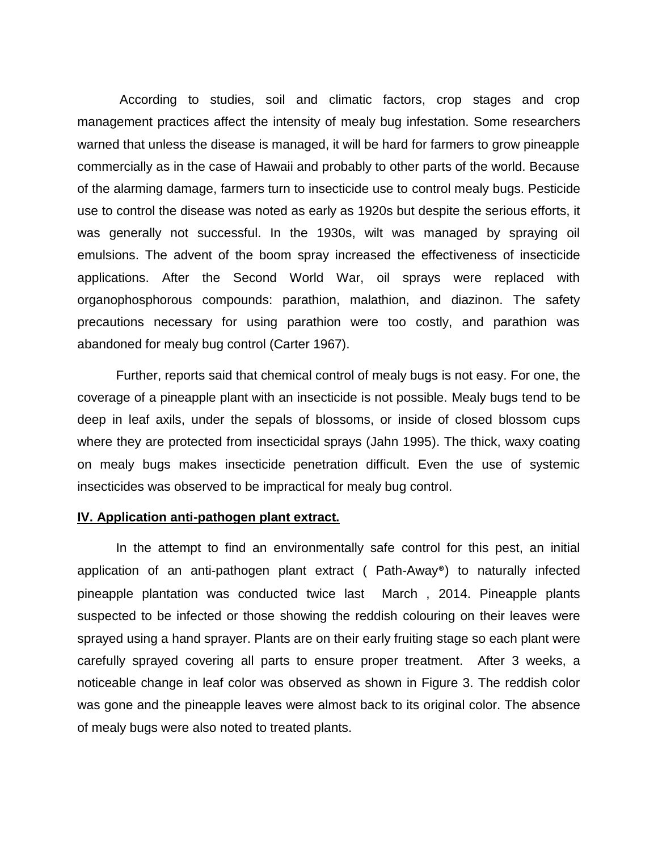According to studies, soil and climatic factors, crop stages and crop management practices affect the intensity of mealy bug infestation. Some researchers warned that unless the disease is managed, it will be hard for farmers to grow pineapple commercially as in the case of Hawaii and probably to other parts of the world. Because of the alarming damage, farmers turn to insecticide use to control mealy bugs. Pesticide use to control the disease was noted as early as 1920s but despite the serious efforts, it was generally not successful. In the 1930s, wilt was managed by spraying oil emulsions. The advent of the boom spray increased the effectiveness of insecticide applications. After the Second World War, oil sprays were replaced with organophosphorous compounds: parathion, malathion, and diazinon. The safety precautions necessary for using parathion were too costly, and parathion was abandoned for mealy bug control (Carter 1967).

Further, reports said that chemical control of mealy bugs is not easy. For one, the coverage of a pineapple plant with an insecticide is not possible. Mealy bugs tend to be deep in leaf axils, under the sepals of blossoms, or inside of closed blossom cups where they are protected from insecticidal sprays (Jahn 1995). The thick, waxy coating on mealy bugs makes insecticide penetration difficult. Even the use of systemic insecticides was observed to be impractical for mealy bug control.

#### **IV. Application anti-pathogen plant extract.**

In the attempt to find an environmentally safe control for this pest, an initial application of an anti-pathogen plant extract ( Path-Away®) to naturally infected pineapple plantation was conducted twice last March , 2014. Pineapple plants suspected to be infected or those showing the reddish colouring on their leaves were sprayed using a hand sprayer. Plants are on their early fruiting stage so each plant were carefully sprayed covering all parts to ensure proper treatment. After 3 weeks, a noticeable change in leaf color was observed as shown in Figure 3. The reddish color was gone and the pineapple leaves were almost back to its original color. The absence of mealy bugs were also noted to treated plants.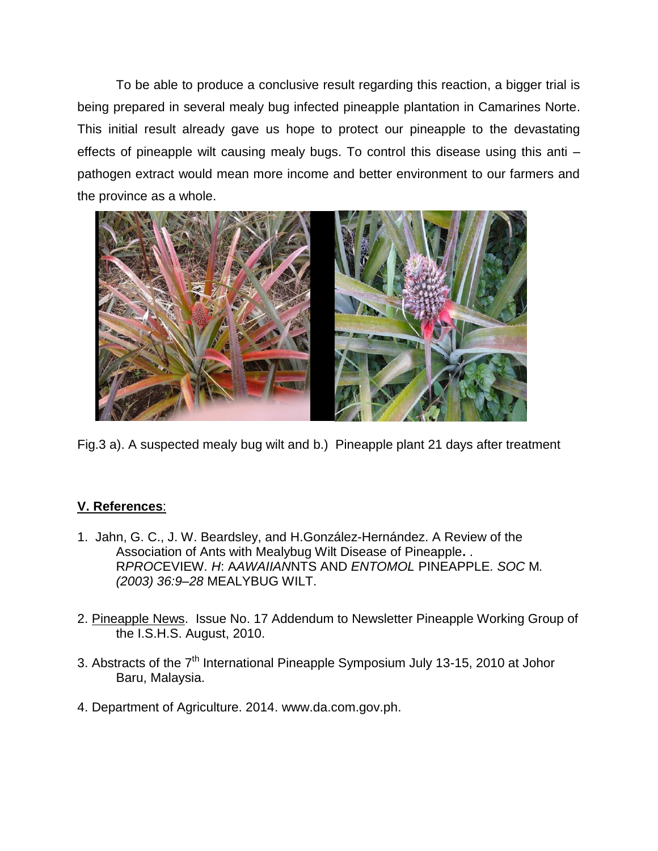To be able to produce a conclusive result regarding this reaction, a bigger trial is being prepared in several mealy bug infected pineapple plantation in Camarines Norte. This initial result already gave us hope to protect our pineapple to the devastating effects of pineapple wilt causing mealy bugs. To control this disease using this anti – pathogen extract would mean more income and better environment to our farmers and the province as a whole.



Fig.3 a). A suspected mealy bug wilt and b.) Pineapple plant 21 days after treatment

## **V. References**:

- 1. Jahn, G. C., J. W. Beardsley, and H.González-Hernández. A Review of the Association of Ants with Mealybug Wilt Disease of Pineapple**.** . R*PROC*EVIEW*. H*: A*AWAIIAN*NTS AND *ENTOMOL* PINEAPPLE*. SOC* M*. (2003) 36:9–28* MEALYBUG WILT.
- 2. Pineapple News. Issue No. 17 Addendum to Newsletter Pineapple Working Group of the I.S.H.S. August, 2010.
- 3. Abstracts of the 7<sup>th</sup> International Pineapple Symposium July 13-15, 2010 at Johor Baru, Malaysia.
- 4. Department of Agriculture. 2014. www.da.com.gov.ph.